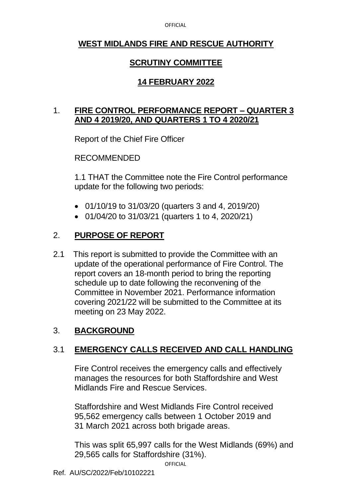**OFFICIAL** 

### **WEST MIDLANDS FIRE AND RESCUE AUTHORITY**

### **SCRUTINY COMMITTEE**

### **14 FEBRUARY 2022**

#### 1. **FIRE CONTROL PERFORMANCE REPORT – QUARTER 3 AND 4 2019/20, AND QUARTERS 1 TO 4 2020/21**

Report of the Chief Fire Officer

RECOMMENDED

1.1 THAT the Committee note the Fire Control performance update for the following two periods:

- 01/10/19 to 31/03/20 (quarters 3 and 4, 2019/20)
- 01/04/20 to 31/03/21 (quarters 1 to 4, 2020/21)

# 2. **PURPOSE OF REPORT**

2.1 This report is submitted to provide the Committee with an update of the operational performance of Fire Control. The report covers an 18-month period to bring the reporting schedule up to date following the reconvening of the Committee in November 2021. Performance information covering 2021/22 will be submitted to the Committee at its meeting on 23 May 2022.

# 3. **BACKGROUND**

# 3.1 **EMERGENCY CALLS RECEIVED AND CALL HANDLING**

Fire Control receives the emergency calls and effectively manages the resources for both Staffordshire and West Midlands Fire and Rescue Services.

Staffordshire and West Midlands Fire Control received 95,562 emergency calls between 1 October 2019 and 31 March 2021 across both brigade areas.

This was split 65,997 calls for the West Midlands (69%) and 29,565 calls for Staffordshire (31%).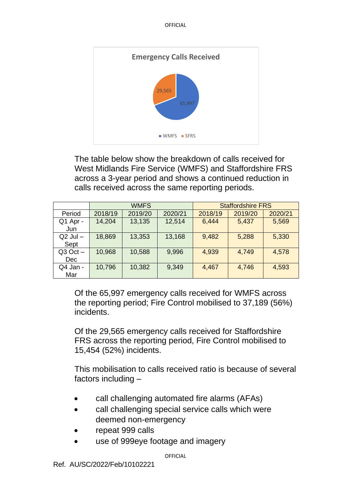OFFICIAL



The table below show the breakdown of calls received for West Midlands Fire Service (WMFS) and Staffordshire FRS across a 3-year period and shows a continued reduction in calls received across the same reporting periods.

|              | <b>WMFS</b> |         |         | <b>Staffordshire FRS</b> |         |         |  |
|--------------|-------------|---------|---------|--------------------------|---------|---------|--|
| Period       | 2018/19     | 2019/20 | 2020/21 | 2018/19                  | 2019/20 | 2020/21 |  |
| Q1 Apr -     | 14,204      | 13,135  | 12,514  | 6,444                    | 5,437   | 5,569   |  |
| Jun          |             |         |         |                          |         |         |  |
| $Q2$ Jul $-$ | 18,869      | 13,353  | 13,168  | 9,482                    | 5,288   | 5,330   |  |
| Sept         |             |         |         |                          |         |         |  |
| $Q3$ Oct $-$ | 10,968      | 10,588  | 9,996   | 4,939                    | 4,749   | 4,578   |  |
| <b>Dec</b>   |             |         |         |                          |         |         |  |
| Q4 Jan -     | 10,796      | 10,382  | 9,349   | 4,467                    | 4,746   | 4,593   |  |
| Mar          |             |         |         |                          |         |         |  |

Of the 65,997 emergency calls received for WMFS across the reporting period; Fire Control mobilised to 37,189 (56%) incidents.

Of the 29,565 emergency calls received for Staffordshire FRS across the reporting period, Fire Control mobilised to 15,454 (52%) incidents.

This mobilisation to calls received ratio is because of several factors including –

- call challenging automated fire alarms (AFAs)
- call challenging special service calls which were deemed non-emergency
- repeat 999 calls
- use of 999eye footage and imagery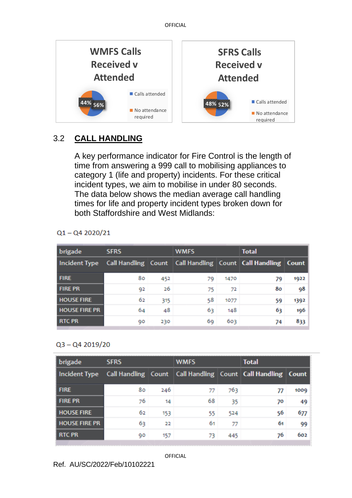OFFICIAL



#### 3.2 **CALL HANDLING**

A key performance indicator for Fire Control is the length of time from answering a 999 call to mobilising appliances to category 1 (life and property) incidents. For these critical incident types, we aim to mobilise in under 80 seconds. The data below shows the median average call handling times for life and property incident types broken down for both Staffordshire and West Midlands:

| brigade              | <b>SFRS</b> |     | <b>WMFS</b> |      | <b>Total</b>                                                        |      |
|----------------------|-------------|-----|-------------|------|---------------------------------------------------------------------|------|
| <b>Incident Type</b> |             |     |             |      | Call Handling Count   Call Handling   Count   Call Handling   Count |      |
| <b>FIRE</b>          | 80          | 452 | 79          | 1470 | 79                                                                  | 1922 |
| <b>FIRE PR</b>       | 92          | 26  | 75          | 72   | 80                                                                  | 98   |
| <b>HOUSE FIRE</b>    | 62          | 315 | 58          | 1077 | 59                                                                  | 1392 |
| <b>HOUSE FIRE PR</b> | 64          | 48  | 63          | 148  | 63                                                                  | 196  |
| <b>RTC PR</b>        | 90          | 230 | 69          | 603  | 74                                                                  | 833  |

 $Q1 - Q42020/21$ 

#### $Q3 - Q42019/20$

| brigade              | <b>SFRS</b> |     | <b>WMFS</b> |     | <b>Total</b>                                                        |      |
|----------------------|-------------|-----|-------------|-----|---------------------------------------------------------------------|------|
| <b>Incident Type</b> |             |     |             |     | Call Handling Count   Call Handling   Count   Call Handling   Count |      |
| <b>FIRE</b>          | 80          | 246 | 77          | 763 |                                                                     | 1009 |
| <b>FIRE PR</b>       | 76          | 14  | 68          | 35  | 70                                                                  | 49   |
| <b>HOUSE FIRE</b>    | 62          | 153 | 55          | 524 | 56                                                                  | 677  |
| <b>HOUSE FIRE PR</b> | 63          | 22  | 61          | 77  | 61                                                                  | 99   |
| <b>RTC PR</b>        | 90          | 157 | 73          | 445 | 76                                                                  | 602  |
|                      |             |     |             |     |                                                                     |      |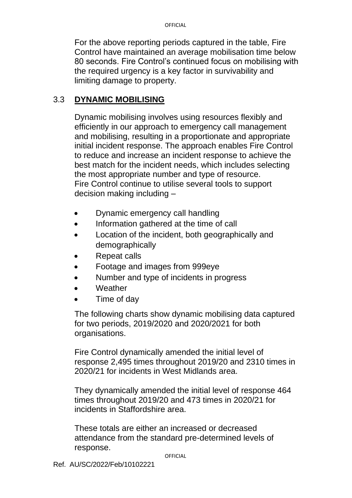For the above reporting periods captured in the table, Fire Control have maintained an average mobilisation time below 80 seconds. Fire Control's continued focus on mobilising with the required urgency is a key factor in survivability and limiting damage to property.

#### 3.3 **DYNAMIC MOBILISING**

Dynamic mobilising involves using resources flexibly and efficiently in our approach to emergency call management and mobilising, resulting in a proportionate and appropriate initial incident response. The approach enables Fire Control to reduce and increase an incident response to achieve the best match for the incident needs, which includes selecting the most appropriate number and type of resource. Fire Control continue to utilise several tools to support decision making including –

- Dynamic emergency call handling
- Information gathered at the time of call
- Location of the incident, both geographically and demographically
- Repeat calls
- Footage and images from 999eye
- Number and type of incidents in progress
- Weather
- Time of day

The following charts show dynamic mobilising data captured for two periods, 2019/2020 and 2020/2021 for both organisations.

Fire Control dynamically amended the initial level of response 2,495 times throughout 2019/20 and 2310 times in 2020/21 for incidents in West Midlands area.

They dynamically amended the initial level of response 464 times throughout 2019/20 and 473 times in 2020/21 for incidents in Staffordshire area.

These totals are either an increased or decreased attendance from the standard pre-determined levels of response.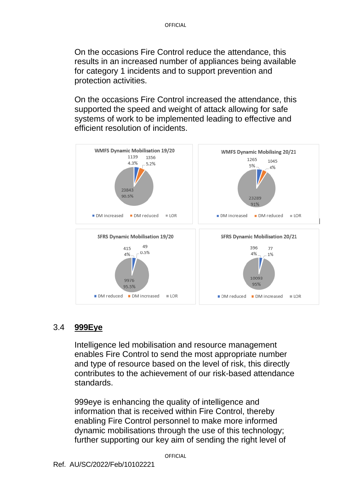On the occasions Fire Control reduce the attendance, this results in an increased number of appliances being available for category 1 incidents and to support prevention and protection activities.

On the occasions Fire Control increased the attendance, this supported the speed and weight of attack allowing for safe systems of work to be implemented leading to effective and efficient resolution of incidents.



#### 3.4 **999Eye**

Intelligence led mobilisation and resource management enables Fire Control to send the most appropriate number and type of resource based on the level of risk, this directly contributes to the achievement of our risk-based attendance standards.

999eye is enhancing the quality of intelligence and information that is received within Fire Control, thereby enabling Fire Control personnel to make more informed dynamic mobilisations through the use of this technology; further supporting our key aim of sending the right level of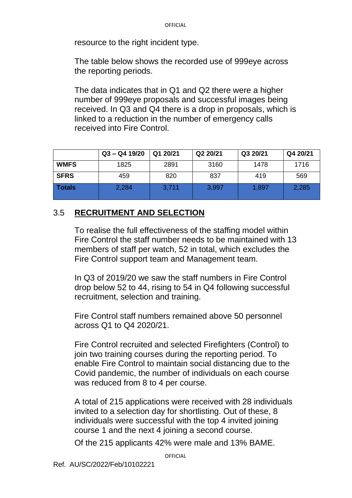resource to the right incident type.

The table below shows the recorded use of 999eye across the reporting periods.

The data indicates that in Q1 and Q2 there were a higher number of 999eye proposals and successful images being received. In Q3 and Q4 there is a drop in proposals, which is linked to a reduction in the number of emergency calls received into Fire Control.

|               | $Q3 - Q4 19/20$ | Q1 20/21 | Q2 20/21 | Q3 20/21 | Q4 20/21 |
|---------------|-----------------|----------|----------|----------|----------|
| <b>WMFS</b>   | 1825            | 2891     | 3160     | 1478     | 1716     |
| <b>SFRS</b>   | 459             | 820      | 837      | 419      | 569      |
| <b>Totals</b> | 2,284           | 3,711    | 3,997    | 1,897    | 2,285    |

### 3.5 **RECRUITMENT AND SELECTION**

To realise the full effectiveness of the staffing model within Fire Control the staff number needs to be maintained with 13 members of staff per watch, 52 in total, which excludes the Fire Control support team and Management team.

In Q3 of 2019/20 we saw the staff numbers in Fire Control drop below 52 to 44, rising to 54 in Q4 following successful recruitment, selection and training.

Fire Control staff numbers remained above 50 personnel across Q1 to Q4 2020/21.

Fire Control recruited and selected Firefighters (Control) to join two training courses during the reporting period. To enable Fire Control to maintain social distancing due to the Covid pandemic, the number of individuals on each course was reduced from 8 to 4 per course.

A total of 215 applications were received with 28 individuals invited to a selection day for shortlisting. Out of these, 8 individuals were successful with the top 4 invited joining course 1 and the next 4 joining a second course.

Of the 215 applicants 42% were male and 13% BAME.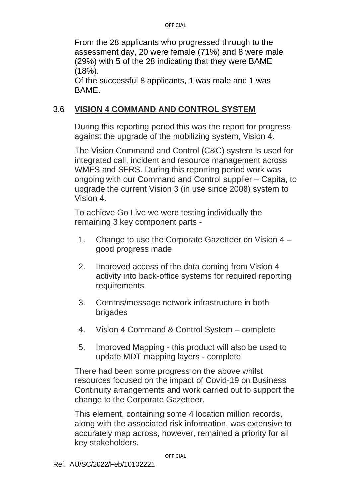From the 28 applicants who progressed through to the assessment day, 20 were female (71%) and 8 were male (29%) with 5 of the 28 indicating that they were BAME  $(18%)$ .

Of the successful 8 applicants, 1 was male and 1 was BAME.

#### 3.6 **VISION 4 COMMAND AND CONTROL SYSTEM**

During this reporting period this was the report for progress against the upgrade of the mobilizing system, Vision 4.

The Vision Command and Control (C&C) system is used for integrated call, incident and resource management across WMFS and SFRS. During this reporting period work was ongoing with our Command and Control supplier – Capita, to upgrade the current Vision 3 (in use since 2008) system to Vision 4.

To achieve Go Live we were testing individually the remaining 3 key component parts -

- 1. Change to use the Corporate Gazetteer on Vision 4 good progress made
- 2. Improved access of the data coming from Vision 4 activity into back-office systems for required reporting requirements
- 3. Comms/message network infrastructure in both brigades
- 4. Vision 4 Command & Control System complete
- 5. Improved Mapping this product will also be used to update MDT mapping layers - complete

There had been some progress on the above whilst resources focused on the impact of Covid-19 on Business Continuity arrangements and work carried out to support the change to the Corporate Gazetteer.

This element, containing some 4 location million records, along with the associated risk information, was extensive to accurately map across, however, remained a priority for all key stakeholders.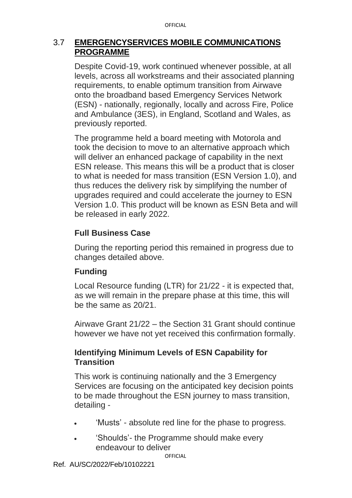#### 3.7 **EMERGENCYSERVICES MOBILE COMMUNICATIONS PROGRAMME**

Despite Covid-19, work continued whenever possible, at all levels, across all workstreams and their associated planning requirements, to enable optimum transition from Airwave onto the broadband based Emergency Services Network (ESN) - nationally, regionally, locally and across Fire, Police and Ambulance (3ES), in England, Scotland and Wales, as previously reported.

The programme held a board meeting with Motorola and took the decision to move to an alternative approach which will deliver an enhanced package of capability in the next ESN release. This means this will be a product that is closer to what is needed for mass transition (ESN Version 1.0), and thus reduces the delivery risk by simplifying the number of upgrades required and could accelerate the journey to ESN Version 1.0. This product will be known as ESN Beta and will be released in early 2022.

# **Full Business Case**

During the reporting period this remained in progress due to changes detailed above.

# **Funding**

Local Resource funding (LTR) for 21/22 - it is expected that, as we will remain in the prepare phase at this time, this will be the same as 20/21.

Airwave Grant 21/22 – the Section 31 Grant should continue however we have not yet received this confirmation formally.

# **Identifying Minimum Levels of ESN Capability for Transition**

This work is continuing nationally and the 3 Emergency Services are focusing on the anticipated key decision points to be made throughout the ESN journey to mass transition, detailing -

- 'Musts' absolute red line for the phase to progress.
- 'Shoulds'- the Programme should make every endeavour to deliver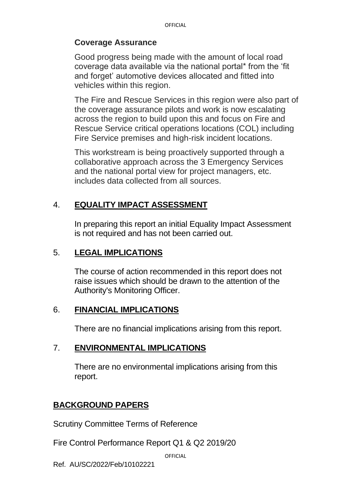### **Coverage Assurance**

Good progress being made with the amount of local road coverage data available via the national portal\* from the 'fit and forget' automotive devices allocated and fitted into vehicles within this region.

The Fire and Rescue Services in this region were also part of the coverage assurance pilots and work is now escalating across the region to build upon this and focus on Fire and Rescue Service critical operations locations (COL) including Fire Service premises and high-risk incident locations.

This workstream is being proactively supported through a collaborative approach across the 3 Emergency Services and the national portal view for project managers, etc. includes data collected from all sources.

# 4. **EQUALITY IMPACT ASSESSMENT**

In preparing this report an initial Equality Impact Assessment is not required and has not been carried out.

# 5. **LEGAL IMPLICATIONS**

The course of action recommended in this report does not raise issues which should be drawn to the attention of the Authority's Monitoring Officer.

# 6. **FINANCIAL IMPLICATIONS**

There are no financial implications arising from this report.

# 7. **ENVIRONMENTAL IMPLICATIONS**

There are no environmental implications arising from this report.

# **BACKGROUND PAPERS**

Scrutiny Committee Terms of Reference

Fire Control Performance Report Q1 & Q2 2019/20